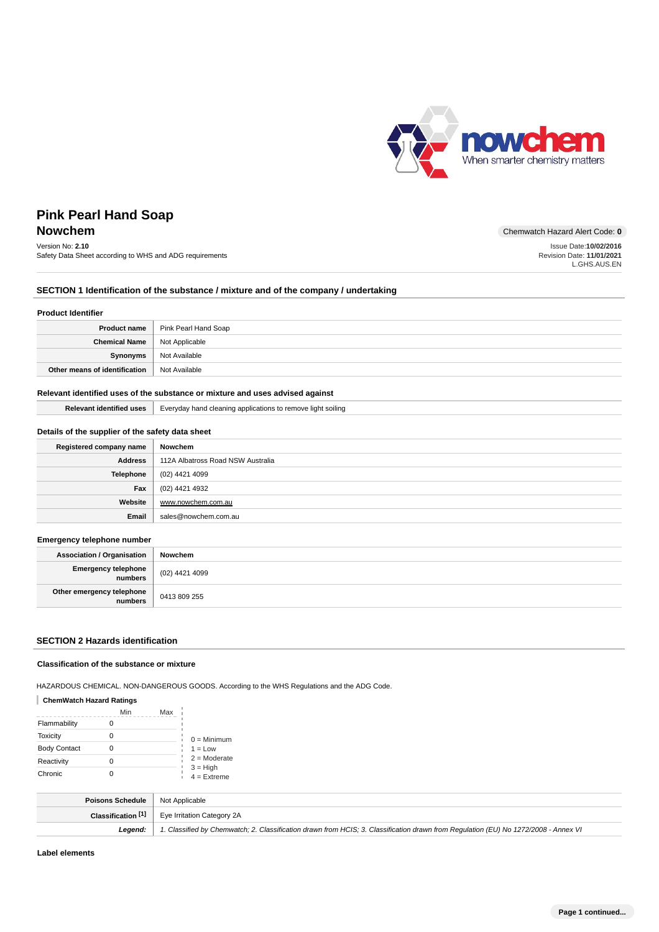

# **Pink Pearl Hand Soap Nowchem** Chemwatch Hazard Alert Code: 0

# Version No: **2.10**

Safety Data Sheet according to WHS and ADG requirements

Issue Date:**10/02/2016**

Revision Date: **11/01/2021** L.GHS.AUS.EN

## **SECTION 1 Identification of the substance / mixture and of the company / undertaking**

#### **Product Identifier**

|                                       | <b>Product name</b>   Pink Pearl Hand Soap |
|---------------------------------------|--------------------------------------------|
| <b>Chemical Name</b>   Not Applicable |                                            |
| Synonyms                              | Not Available                              |
| Other means of identification         | Not Available                              |

## **Relevant identified uses of the substance or mixture and uses advised against**

|  | <b>Relevant identified uses</b>   Everyday hand cleaning applications to remove light soiling |
|--|-----------------------------------------------------------------------------------------------|
|--|-----------------------------------------------------------------------------------------------|

### **Details of the supplier of the safety data sheet**

| Registered company name | Nowchem                           |
|-------------------------|-----------------------------------|
| <b>Address</b>          | 112A Albatross Road NSW Australia |
| Telephone               | (02) 4421 4099                    |
| Fax                     | (02) 4421 4932                    |
| Website                 | www.nowchem.com.au                |
| Email                   | sales@nowchem.com.au              |

#### **Emergency telephone number**

| <b>Association / Organisation</b>    | Nowchem        |
|--------------------------------------|----------------|
| Emergency telephone<br>numbers       | (02) 4421 4099 |
| Other emergency telephone<br>numbers | 0413 809 255   |

### **SECTION 2 Hazards identification**

#### **Classification of the substance or mixture**

HAZARDOUS CHEMICAL. NON-DANGEROUS GOODS. According to the WHS Regulations and the ADG Code.

### **ChemWatch Hazard Ratings**

|                     | Min | Max |                             |
|---------------------|-----|-----|-----------------------------|
| Flammability        |     |     |                             |
| Toxicity            |     |     | $0 =$ Minimum               |
| <b>Body Contact</b> |     |     | $1 = Low$                   |
| Reactivity          |     |     | $2 =$ Moderate              |
| Chronic             |     |     | $3 = High$<br>$4 =$ Extreme |

| <b>Poisons Schedule</b>   Not Applicable |                                                                                                                                     |
|------------------------------------------|-------------------------------------------------------------------------------------------------------------------------------------|
|                                          | <b>Classification [1]</b> Eye Irritation Category 2A                                                                                |
| Leaend:                                  | 1. Classified by Chemwatch; 2. Classification drawn from HCIS; 3. Classification drawn from Requlation (EU) No 1272/2008 - Annex VI |

**Label elements**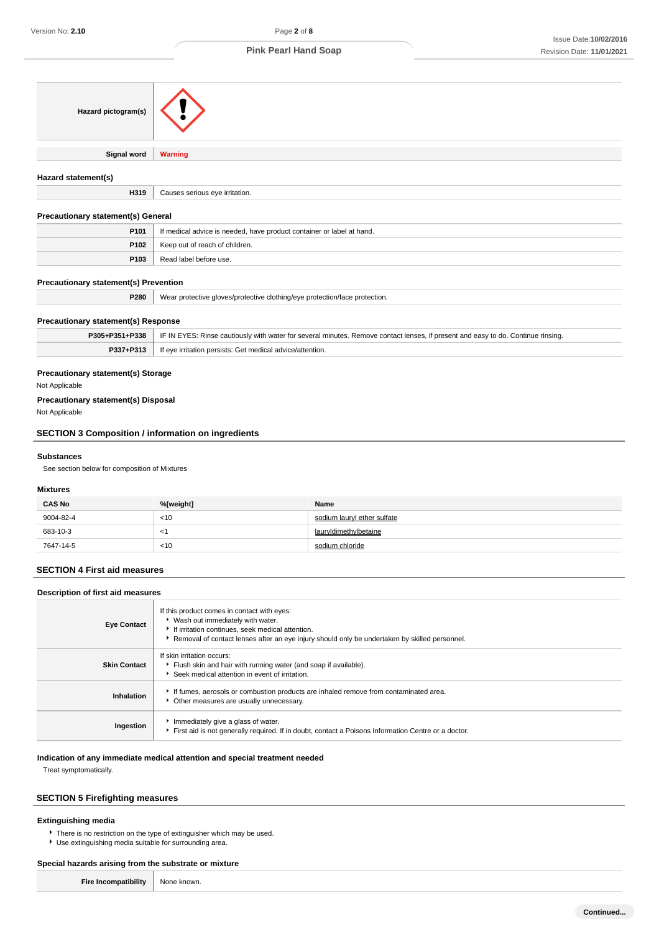| Hazard pictogram(s)                                       |                                                                                                                                                                                                                                        |                                                                                                                                  |  |
|-----------------------------------------------------------|----------------------------------------------------------------------------------------------------------------------------------------------------------------------------------------------------------------------------------------|----------------------------------------------------------------------------------------------------------------------------------|--|
| <b>Signal word</b>                                        | <b>Warning</b>                                                                                                                                                                                                                         |                                                                                                                                  |  |
| Hazard statement(s)                                       |                                                                                                                                                                                                                                        |                                                                                                                                  |  |
| H319                                                      | Causes serious eye irritation.                                                                                                                                                                                                         |                                                                                                                                  |  |
| <b>Precautionary statement(s) General</b>                 |                                                                                                                                                                                                                                        |                                                                                                                                  |  |
| P101                                                      | If medical advice is needed, have product container or label at hand.                                                                                                                                                                  |                                                                                                                                  |  |
| P102                                                      | Keep out of reach of children.                                                                                                                                                                                                         |                                                                                                                                  |  |
| P103                                                      | Read label before use.                                                                                                                                                                                                                 |                                                                                                                                  |  |
| <b>Precautionary statement(s) Prevention</b>              |                                                                                                                                                                                                                                        |                                                                                                                                  |  |
| P280                                                      | Wear protective gloves/protective clothing/eye protection/face protection.                                                                                                                                                             |                                                                                                                                  |  |
|                                                           |                                                                                                                                                                                                                                        |                                                                                                                                  |  |
| <b>Precautionary statement(s) Response</b>                |                                                                                                                                                                                                                                        |                                                                                                                                  |  |
| P305+P351+P338                                            |                                                                                                                                                                                                                                        | IF IN EYES: Rinse cautiously with water for several minutes. Remove contact lenses, if present and easy to do. Continue rinsing. |  |
| P337+P313                                                 | If eye irritation persists: Get medical advice/attention.                                                                                                                                                                              |                                                                                                                                  |  |
| Not Applicable                                            | <b>Precautionary statement(s) Storage</b>                                                                                                                                                                                              |                                                                                                                                  |  |
| <b>Precautionary statement(s) Disposal</b>                |                                                                                                                                                                                                                                        |                                                                                                                                  |  |
| Not Applicable                                            |                                                                                                                                                                                                                                        |                                                                                                                                  |  |
| <b>SECTION 3 Composition / information on ingredients</b> |                                                                                                                                                                                                                                        |                                                                                                                                  |  |
|                                                           |                                                                                                                                                                                                                                        |                                                                                                                                  |  |
| <b>Substances</b>                                         |                                                                                                                                                                                                                                        |                                                                                                                                  |  |
| See section below for composition of Mixtures             |                                                                                                                                                                                                                                        |                                                                                                                                  |  |
| <b>Mixtures</b>                                           |                                                                                                                                                                                                                                        |                                                                                                                                  |  |
| <b>CAS No</b>                                             | %[weight]                                                                                                                                                                                                                              | Name                                                                                                                             |  |
| 9004-82-4                                                 | < 10                                                                                                                                                                                                                                   | sodium lauryl ether sulfate                                                                                                      |  |
| 683-10-3                                                  | $<$ 1                                                                                                                                                                                                                                  | lauryldimethylbetaine                                                                                                            |  |
| 7647-14-5                                                 | <10                                                                                                                                                                                                                                    | sodium chloride                                                                                                                  |  |
| <b>SECTION 4 First aid measures</b>                       |                                                                                                                                                                                                                                        |                                                                                                                                  |  |
| Description of first aid measures                         |                                                                                                                                                                                                                                        |                                                                                                                                  |  |
| <b>Eye Contact</b>                                        | If this product comes in contact with eyes:<br>Vash out immediately with water.<br>If irritation continues, seek medical attention.<br>▶ Removal of contact lenses after an eye injury should only be undertaken by skilled personnel. |                                                                                                                                  |  |

|                     | <b>TWO/TOVER OF CONTECT ICHOOD ENTER AND CATEGORY SHOULD ONly DC UNOCREACH DY SIMICA POISONING.</b>                                             |
|---------------------|-------------------------------------------------------------------------------------------------------------------------------------------------|
| <b>Skin Contact</b> | If skin irritation occurs:<br>Flush skin and hair with running water (and soap if available).<br>Seek medical attention in event of irritation. |
| Inhalation          | If fumes, aerosols or combustion products are inhaled remove from contaminated area.<br>Other measures are usually unnecessary.                 |
| Ingestion           | Immediately give a glass of water.<br>First aid is not generally required. If in doubt, contact a Poisons Information Centre or a doctor.       |

### **Indication of any immediate medical attention and special treatment needed**

Treat symptomatically.

## **SECTION 5 Firefighting measures**

## **Extinguishing media**

There is no restriction on the type of extinguisher which may be used.

Use extinguishing media suitable for surrounding area.

#### **Special hazards arising from the substrate or mixture**  $\top$

| <b>Fire Incompatibility</b> | None known. |
|-----------------------------|-------------|
|-----------------------------|-------------|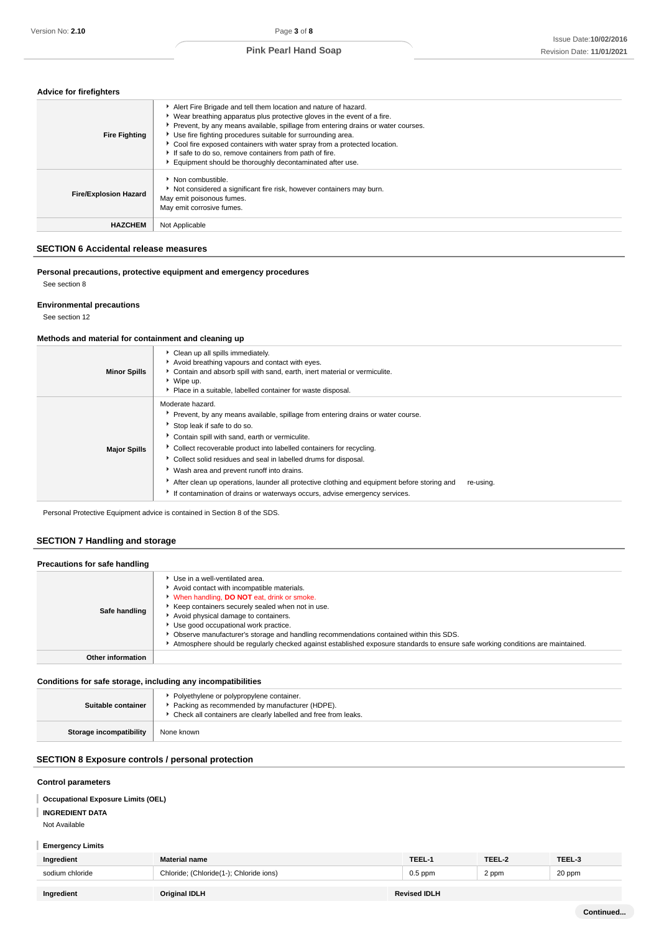### **Advice for firefighters**

| <b>Fire Fighting</b>         | Alert Fire Brigade and tell them location and nature of hazard.<br>• Wear breathing apparatus plus protective gloves in the event of a fire.<br>Prevent, by any means available, spillage from entering drains or water courses.<br>▶ Use fire fighting procedures suitable for surrounding area.<br>► Cool fire exposed containers with water spray from a protected location.<br>If safe to do so, remove containers from path of fire.<br>Equipment should be thoroughly decontaminated after use. |
|------------------------------|-------------------------------------------------------------------------------------------------------------------------------------------------------------------------------------------------------------------------------------------------------------------------------------------------------------------------------------------------------------------------------------------------------------------------------------------------------------------------------------------------------|
| <b>Fire/Explosion Hazard</b> | Non combustible.<br>Not considered a significant fire risk, however containers may burn.<br>May emit poisonous fumes.<br>May emit corrosive fumes.                                                                                                                                                                                                                                                                                                                                                    |
| <b>HAZCHEM</b>               | Not Applicable                                                                                                                                                                                                                                                                                                                                                                                                                                                                                        |

### **SECTION 6 Accidental release measures**

**Personal precautions, protective equipment and emergency procedures** See section 8

## **Environmental precautions**

See section 12

#### **Methods and material for containment and cleaning up**

| <b>Minor Spills</b> | Clean up all spills immediately.<br>Avoid breathing vapours and contact with eyes.<br>Contain and absorb spill with sand, earth, inert material or vermiculite.<br>Wipe up.<br>• Place in a suitable, labelled container for waste disposal.                                                                                                                                                                                                                                                                                                                          |
|---------------------|-----------------------------------------------------------------------------------------------------------------------------------------------------------------------------------------------------------------------------------------------------------------------------------------------------------------------------------------------------------------------------------------------------------------------------------------------------------------------------------------------------------------------------------------------------------------------|
| <b>Major Spills</b> | Moderate hazard.<br>Prevent, by any means available, spillage from entering drains or water course.<br>Stop leak if safe to do so.<br>Contain spill with sand, earth or vermiculite.<br>Collect recoverable product into labelled containers for recycling.<br>Collect solid residues and seal in labelled drums for disposal.<br>Wash area and prevent runoff into drains.<br>After clean up operations, launder all protective clothing and equipment before storing and<br>re-using.<br>If contamination of drains or waterways occurs, advise emergency services. |

Personal Protective Equipment advice is contained in Section 8 of the SDS.

## **SECTION 7 Handling and storage**

| Precautions for safe handling |                                                                                                                                                                                                                                                                                                                                                                                                                                                                                               |
|-------------------------------|-----------------------------------------------------------------------------------------------------------------------------------------------------------------------------------------------------------------------------------------------------------------------------------------------------------------------------------------------------------------------------------------------------------------------------------------------------------------------------------------------|
| Safe handling                 | Use in a well-ventilated area.<br>Avoid contact with incompatible materials.<br>When handling, DO NOT eat, drink or smoke.<br>Keep containers securely sealed when not in use.<br>Avoid physical damage to containers.<br>Use good occupational work practice.<br>▶ Observe manufacturer's storage and handling recommendations contained within this SDS.<br>Atmosphere should be regularly checked against established exposure standards to ensure safe working conditions are maintained. |
| Other information             |                                                                                                                                                                                                                                                                                                                                                                                                                                                                                               |
|                               |                                                                                                                                                                                                                                                                                                                                                                                                                                                                                               |

## **Conditions for safe storage, including any incompatibilities**

| Suitable container      | Polyethylene or polypropylene container.<br>Packing as recommended by manufacturer (HDPE).<br>• Check all containers are clearly labelled and free from leaks. |
|-------------------------|----------------------------------------------------------------------------------------------------------------------------------------------------------------|
| Storage incompatibility | None known                                                                                                                                                     |

## **SECTION 8 Exposure controls / personal protection**

### **Control parameters**

### **Occupational Exposure Limits (OEL)**

**INGREDIENT DATA**

## Not Available

Ï

| <b>Emergency Limits</b> |
|-------------------------|
|-------------------------|

| Ingredient      | <b>Material name</b>                    | TEEL-1              | TEEL-2 | TEEL-3 |
|-----------------|-----------------------------------------|---------------------|--------|--------|
| sodium chloride | Chloride; (Chloride(1-); Chloride ions) | $0.5$ ppm           | 2 ppm  | 20 ppm |
|                 |                                         |                     |        |        |
| Ingredient      | Original IDLH                           | <b>Revised IDLH</b> |        |        |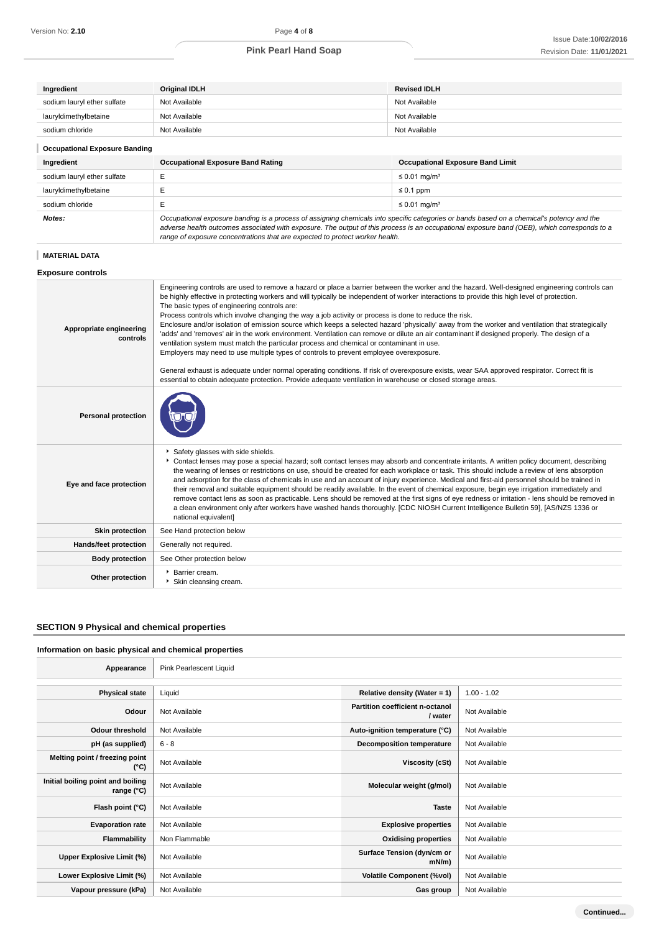| Ingredient                           | <b>Original IDLH</b>                     | <b>Revised IDLH</b>                     |  |
|--------------------------------------|------------------------------------------|-----------------------------------------|--|
| sodium lauryl ether sulfate          | Not Available                            | Not Available                           |  |
| lauryldimethylbetaine                | Not Available                            | Not Available                           |  |
| sodium chloride                      | Not Available                            | Not Available                           |  |
| <b>Occupational Exposure Banding</b> |                                          |                                         |  |
| Ingredient                           | <b>Occupational Exposure Band Rating</b> | <b>Occupational Exposure Band Limit</b> |  |
| sodium lauryl ether sulfate          | E                                        | $\leq$ 0.01 mg/m <sup>3</sup>           |  |
| lauryldimethylbetaine                |                                          | $\leq 0.1$ ppm                          |  |
| sodium chloride                      | Е                                        | $\leq$ 0.01 mg/m <sup>3</sup>           |  |
|                                      |                                          |                                         |  |

adverse health outcomes associated with exposure. The output of this process is an occupational exposure band (OEB), which corresponds to a range of exposure concentrations that are expected to protect worker health.

#### **MATERIAL DATA**

### **Exposure controls**

| Appropriate engineering<br>controls | Engineering controls are used to remove a hazard or place a barrier between the worker and the hazard. Well-designed engineering controls can<br>be highly effective in protecting workers and will typically be independent of worker interactions to provide this high level of protection.<br>The basic types of engineering controls are:<br>Process controls which involve changing the way a job activity or process is done to reduce the risk.<br>Enclosure and/or isolation of emission source which keeps a selected hazard 'physically' away from the worker and ventilation that strategically<br>'adds' and 'removes' air in the work environment. Ventilation can remove or dilute an air contaminant if designed properly. The design of a<br>ventilation system must match the particular process and chemical or contaminant in use.<br>Employers may need to use multiple types of controls to prevent employee overexposure.<br>General exhaust is adequate under normal operating conditions. If risk of overexposure exists, wear SAA approved respirator. Correct fit is<br>essential to obtain adequate protection. Provide adequate ventilation in warehouse or closed storage areas. |
|-------------------------------------|---------------------------------------------------------------------------------------------------------------------------------------------------------------------------------------------------------------------------------------------------------------------------------------------------------------------------------------------------------------------------------------------------------------------------------------------------------------------------------------------------------------------------------------------------------------------------------------------------------------------------------------------------------------------------------------------------------------------------------------------------------------------------------------------------------------------------------------------------------------------------------------------------------------------------------------------------------------------------------------------------------------------------------------------------------------------------------------------------------------------------------------------------------------------------------------------------------------|
| <b>Personal protection</b>          |                                                                                                                                                                                                                                                                                                                                                                                                                                                                                                                                                                                                                                                                                                                                                                                                                                                                                                                                                                                                                                                                                                                                                                                                               |
| Eye and face protection             | Safety glasses with side shields.<br>Contact lenses may pose a special hazard; soft contact lenses may absorb and concentrate irritants. A written policy document, describing<br>the wearing of lenses or restrictions on use, should be created for each workplace or task. This should include a review of lens absorption<br>and adsorption for the class of chemicals in use and an account of injury experience. Medical and first-aid personnel should be trained in<br>their removal and suitable equipment should be readily available. In the event of chemical exposure, begin eye irrigation immediately and<br>remove contact lens as soon as practicable. Lens should be removed at the first signs of eye redness or irritation - lens should be removed in<br>a clean environment only after workers have washed hands thoroughly. [CDC NIOSH Current Intelligence Bulletin 59], [AS/NZS 1336 or<br>national equivalent]                                                                                                                                                                                                                                                                      |
| <b>Skin protection</b>              | See Hand protection below                                                                                                                                                                                                                                                                                                                                                                                                                                                                                                                                                                                                                                                                                                                                                                                                                                                                                                                                                                                                                                                                                                                                                                                     |
| Hands/feet protection               | Generally not required.                                                                                                                                                                                                                                                                                                                                                                                                                                                                                                                                                                                                                                                                                                                                                                                                                                                                                                                                                                                                                                                                                                                                                                                       |
| <b>Body protection</b>              | See Other protection below                                                                                                                                                                                                                                                                                                                                                                                                                                                                                                                                                                                                                                                                                                                                                                                                                                                                                                                                                                                                                                                                                                                                                                                    |
| Other protection                    | Barrier cream.<br>Skin cleansing cream.                                                                                                                                                                                                                                                                                                                                                                                                                                                                                                                                                                                                                                                                                                                                                                                                                                                                                                                                                                                                                                                                                                                                                                       |

### **SECTION 9 Physical and chemical properties**

### **Information on basic physical and chemical properties**

| Appearance                                      | Pink Pearlescent Liquid |                                            |               |
|-------------------------------------------------|-------------------------|--------------------------------------------|---------------|
|                                                 |                         |                                            |               |
| <b>Physical state</b>                           | Liquid                  | Relative density (Water = $1$ )            | $1.00 - 1.02$ |
| Odour                                           | Not Available           | Partition coefficient n-octanol<br>/ water | Not Available |
| <b>Odour threshold</b>                          | Not Available           | Auto-ignition temperature (°C)             | Not Available |
| pH (as supplied)                                | $6 - 8$                 | <b>Decomposition temperature</b>           | Not Available |
| Melting point / freezing point<br>(°C)          | Not Available           | Viscosity (cSt)                            | Not Available |
| Initial boiling point and boiling<br>range (°C) | Not Available           | Molecular weight (g/mol)                   | Not Available |
| Flash point (°C)                                | Not Available           | <b>Taste</b>                               | Not Available |
| <b>Evaporation rate</b>                         | Not Available           | <b>Explosive properties</b>                | Not Available |
| <b>Flammability</b>                             | Non Flammable           | <b>Oxidising properties</b>                | Not Available |
| Upper Explosive Limit (%)                       | Not Available           | Surface Tension (dyn/cm or<br>mN/m         | Not Available |
| Lower Explosive Limit (%)                       | Not Available           | <b>Volatile Component (%vol)</b>           | Not Available |
| Vapour pressure (kPa)                           | Not Available           | Gas group                                  | Not Available |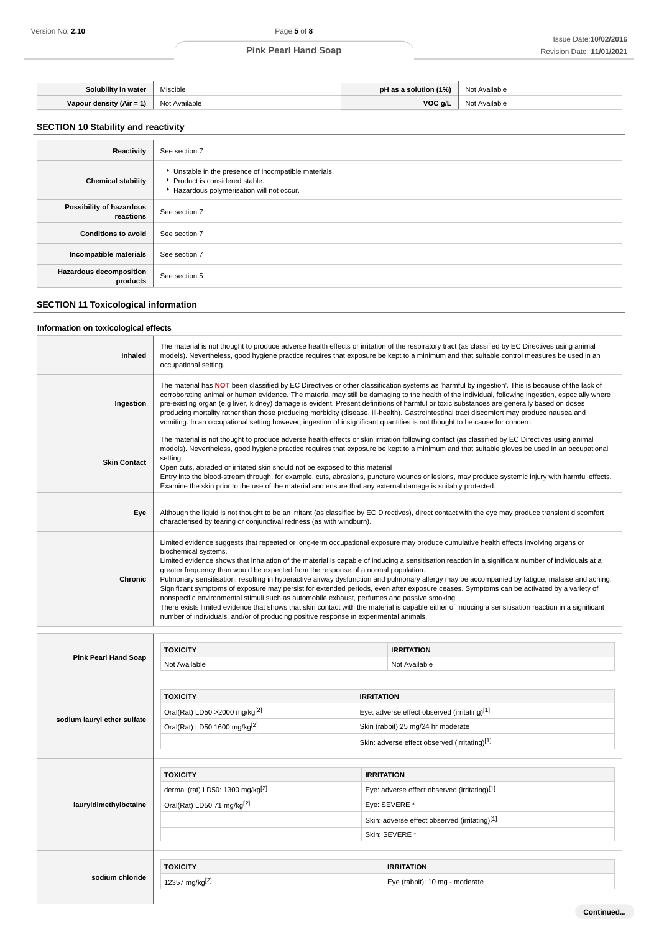| Solubility in water              | Miscible      | pH as a solution (1%) | Not Available |
|----------------------------------|---------------|-----------------------|---------------|
| Vapour density (Air = 1) $\vert$ | Not Available | VOC a/L               | Not Available |

## **SECTION 10 Stability and reactivity**

| Reactivity                                 | See section 7                                                                                                                      |
|--------------------------------------------|------------------------------------------------------------------------------------------------------------------------------------|
| <b>Chemical stability</b>                  | • Unstable in the presence of incompatible materials.<br>Product is considered stable.<br>Hazardous polymerisation will not occur. |
| Possibility of hazardous<br>reactions      | See section 7                                                                                                                      |
| <b>Conditions to avoid</b>                 | See section 7                                                                                                                      |
| Incompatible materials                     | See section 7                                                                                                                      |
| <b>Hazardous decomposition</b><br>products | See section 5                                                                                                                      |

## **SECTION 11 Toxicological information**

### **Information on toxicological effects**

| Inhaled             | The material is not thought to produce adverse health effects or irritation of the respiratory tract (as classified by EC Directives using animal<br>models). Nevertheless, good hygiene practice requires that exposure be kept to a minimum and that suitable control measures be used in an<br>occupational setting.                                                                                                                                                                                                                                                                                                                                                                                                                                                                                                                                                                                                                                                                                                                               |
|---------------------|-------------------------------------------------------------------------------------------------------------------------------------------------------------------------------------------------------------------------------------------------------------------------------------------------------------------------------------------------------------------------------------------------------------------------------------------------------------------------------------------------------------------------------------------------------------------------------------------------------------------------------------------------------------------------------------------------------------------------------------------------------------------------------------------------------------------------------------------------------------------------------------------------------------------------------------------------------------------------------------------------------------------------------------------------------|
| Ingestion           | The material has NOT been classified by EC Directives or other classification systems as 'harmful by ingestion'. This is because of the lack of<br>corroborating animal or human evidence. The material may still be damaging to the health of the individual, following ingestion, especially where<br>pre-existing organ (e.g liver, kidney) damage is evident. Present definitions of harmful or toxic substances are generally based on doses<br>producing mortality rather than those producing morbidity (disease, ill-health). Gastrointestinal tract discomfort may produce nausea and<br>vomiting. In an occupational setting however, ingestion of insignificant quantities is not thought to be cause for concern.                                                                                                                                                                                                                                                                                                                         |
| <b>Skin Contact</b> | The material is not thought to produce adverse health effects or skin irritation following contact (as classified by EC Directives using animal<br>models). Nevertheless, good hygiene practice requires that exposure be kept to a minimum and that suitable gloves be used in an occupational<br>setting.<br>Open cuts, abraded or irritated skin should not be exposed to this material<br>Entry into the blood-stream through, for example, cuts, abrasions, puncture wounds or lesions, may produce systemic injury with harmful effects.<br>Examine the skin prior to the use of the material and ensure that any external damage is suitably protected.                                                                                                                                                                                                                                                                                                                                                                                        |
| Eye                 | Although the liquid is not thought to be an irritant (as classified by EC Directives), direct contact with the eye may produce transient discomfort<br>characterised by tearing or conjunctival redness (as with windburn).                                                                                                                                                                                                                                                                                                                                                                                                                                                                                                                                                                                                                                                                                                                                                                                                                           |
| Chronic             | Limited evidence suggests that repeated or long-term occupational exposure may produce cumulative health effects involving organs or<br>biochemical systems.<br>Limited evidence shows that inhalation of the material is capable of inducing a sensitisation reaction in a significant number of individuals at a<br>greater frequency than would be expected from the response of a normal population.<br>Pulmonary sensitisation, resulting in hyperactive airway dysfunction and pulmonary allergy may be accompanied by fatigue, malaise and aching.<br>Significant symptoms of exposure may persist for extended periods, even after exposure ceases. Symptoms can be activated by a variety of<br>nonspecific environmental stimuli such as automobile exhaust, perfumes and passive smoking.<br>There exists limited evidence that shows that skin contact with the material is capable either of inducing a sensitisation reaction in a significant<br>number of individuals, and/or of producing positive response in experimental animals. |

|                             | <b>TOXICITY</b>                              |                                               | <b>IRRITATION</b>              |  |
|-----------------------------|----------------------------------------------|-----------------------------------------------|--------------------------------|--|
| <b>Pink Pearl Hand Soap</b> | Not Available                                |                                               | Not Available                  |  |
|                             |                                              |                                               |                                |  |
|                             | <b>TOXICITY</b>                              | <b>IRRITATION</b>                             |                                |  |
|                             | Oral(Rat) LD50 > 2000 mg/kg <sup>[2]</sup>   | Eye: adverse effect observed (irritating)[1]  |                                |  |
| sodium lauryl ether sulfate | Oral(Rat) LD50 1600 mg/kg <sup>[2]</sup>     | Skin (rabbit):25 mg/24 hr moderate            |                                |  |
|                             |                                              | Skin: adverse effect observed (irritating)[1] |                                |  |
|                             |                                              |                                               |                                |  |
|                             | <b>TOXICITY</b>                              | <b>IRRITATION</b>                             |                                |  |
|                             | dermal (rat) LD50: 1300 mg/kg <sup>[2]</sup> | Eye: adverse effect observed (irritating)[1]  |                                |  |
| lauryldimethylbetaine       | Oral(Rat) LD50 71 mg/kg <sup>[2]</sup>       | Eye: SEVERE *                                 |                                |  |
|                             |                                              | Skin: adverse effect observed (irritating)[1] |                                |  |
|                             |                                              | Skin: SEVERE *                                |                                |  |
|                             |                                              |                                               |                                |  |
|                             | <b>TOXICITY</b>                              |                                               | <b>IRRITATION</b>              |  |
| sodium chloride             | 12357 mg/kg[2]                               |                                               | Eye (rabbit): 10 mg - moderate |  |
|                             |                                              |                                               |                                |  |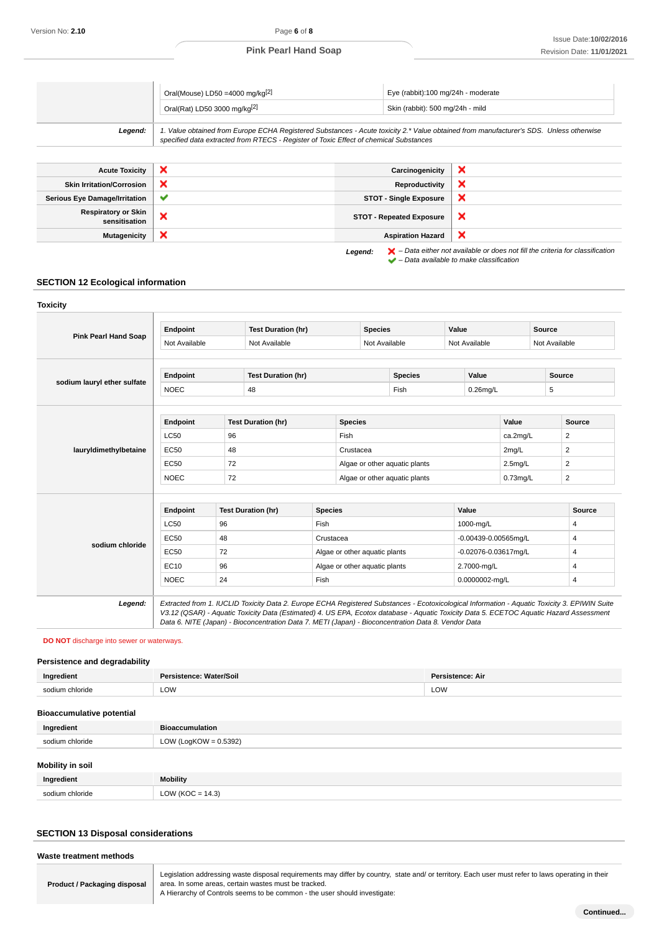|         | Oral(Mouse) LD50 = 4000 mg/kg <sup>[2]</sup><br>Oral(Rat) LD50 3000 mg/kg <sup>[2]</sup>                                                                                                                                        | Eye (rabbit):100 mg/24h - moderate<br>Skin (rabbit): 500 mg/24h - mild |
|---------|---------------------------------------------------------------------------------------------------------------------------------------------------------------------------------------------------------------------------------|------------------------------------------------------------------------|
| Leaend: | 1. Value obtained from Europe ECHA Registered Substances - Acute toxicity 2.* Value obtained from manufacturer's SDS. Unless otherwise<br>specified data extracted from RTECS - Register of Toxic Effect of chemical Substances |                                                                        |

| <b>Acute Toxicity</b>                       | ×            | Carcinogenicity                 | ×                                                                                                                                                                   |
|---------------------------------------------|--------------|---------------------------------|---------------------------------------------------------------------------------------------------------------------------------------------------------------------|
| <b>Skin Irritation/Corrosion</b>            | ×            | Reproductivity                  | ×                                                                                                                                                                   |
| <b>Serious Eye Damage/Irritation</b>        | $\checkmark$ | <b>STOT - Single Exposure</b>   | ×                                                                                                                                                                   |
| <b>Respiratory or Skin</b><br>sensitisation | ×            | <b>STOT - Repeated Exposure</b> | ×                                                                                                                                                                   |
| <b>Mutagenicity</b>                         | ×            | <b>Aspiration Hazard</b>        | ×                                                                                                                                                                   |
|                                             |              | Legend:                         | $\blacktriangleright$ - Data either not available or does not fill the criteria for classification<br>$\blacktriangleright$ - Data available to make classification |

## **SECTION 12 Ecological information**

| <b>Pink Pearl Hand Soap</b>                | Endpoint      |    | <b>Test Duration (hr)</b> |                |                               | <b>Species</b> |                |             | Value                |       | Source        |               |
|--------------------------------------------|---------------|----|---------------------------|----------------|-------------------------------|----------------|----------------|-------------|----------------------|-------|---------------|---------------|
|                                            | Not Available |    | Not Available             |                |                               | Not Available  |                |             | Not Available        |       | Not Available |               |
|                                            | Endpoint      |    | <b>Test Duration (hr)</b> |                |                               |                | <b>Species</b> |             | Value                |       | <b>Source</b> |               |
| sodium lauryl ether sulfate<br><b>NOEC</b> |               | 48 |                           |                | Fish                          |                |                | $0.26$ mg/L |                      | 5     |               |               |
|                                            | Endpoint      |    | <b>Test Duration (hr)</b> |                | <b>Species</b>                |                |                |             |                      | Value |               | Source        |
| lauryldimethylbetaine                      | <b>LC50</b>   | 96 |                           |                | Fish                          |                |                |             | ca.2mg/L             |       |               | 2             |
|                                            | <b>EC50</b>   | 48 |                           |                | Crustacea                     |                |                |             | 2mg/L                |       | 2             |               |
|                                            | <b>EC50</b>   | 72 |                           |                | Algae or other aquatic plants |                |                | $2.5$ mg/L  |                      | 2     |               |               |
|                                            | <b>NOEC</b>   | 72 |                           |                | Algae or other aquatic plants |                |                | $0.73$ mg/L |                      | 2     |               |               |
|                                            | Endpoint      |    | <b>Test Duration (hr)</b> | <b>Species</b> |                               |                |                |             | Value                |       |               | <b>Source</b> |
| sodium chloride                            | <b>LC50</b>   | 96 |                           |                | Fish                          |                |                |             | 1000-mg/L            |       |               | 4             |
|                                            | EC50          | 48 |                           |                | Crustacea                     |                |                |             | -0.00439-0.00565mg/L |       |               | 4             |
|                                            | EC50          | 72 |                           |                | Algae or other aquatic plants |                |                |             | -0.02076-0.03617mg/L |       |               | 4             |
|                                            | EC10          | 96 |                           |                | Algae or other aquatic plants |                |                |             | 2.7000-mg/L          |       |               | 4             |
|                                            | <b>NOEC</b>   | 24 |                           |                | Fish                          |                |                |             | 0.0000002-mg/L       |       |               | 4             |
|                                            |               |    |                           |                |                               |                |                |             |                      |       |               |               |

#### **DO NOT** discharge into sewer or waterways.

#### **Persistence and degradability**

| Ingredient             | : Water/Soil<br>Persistence: | <b>Persistence: Air</b> |
|------------------------|------------------------------|-------------------------|
| loride<br>sodium.<br>. | LOW                          | LOW<br>____             |

| <b>Bioaccumulative potential</b> |                          |
|----------------------------------|--------------------------|
| Ingredient                       | <b>Bioaccumulation</b>   |
| sodium chloride                  | LOW (LogKOW = $0.5392$ ) |
|                                  |                          |
| <b>Mobility in soil</b>          |                          |
| <b>Increading</b>                | $M - 1114.7$             |

| $\sim$<br>$\mathbf{A}$<br><b>TIME</b> |  |
|---------------------------------------|--|

## **SECTION 13 Disposal considerations**

| Waste treatment methods             |                                                                                                                                                    |
|-------------------------------------|----------------------------------------------------------------------------------------------------------------------------------------------------|
|                                     | Legislation addressing waste disposal requirements may differ by country, state and/ or territory. Each user must refer to laws operating in their |
| <b>Product / Packaging disposal</b> | area. In some areas, certain wastes must be tracked.                                                                                               |

A Hierarchy of Controls seems to be common - the user should investigate: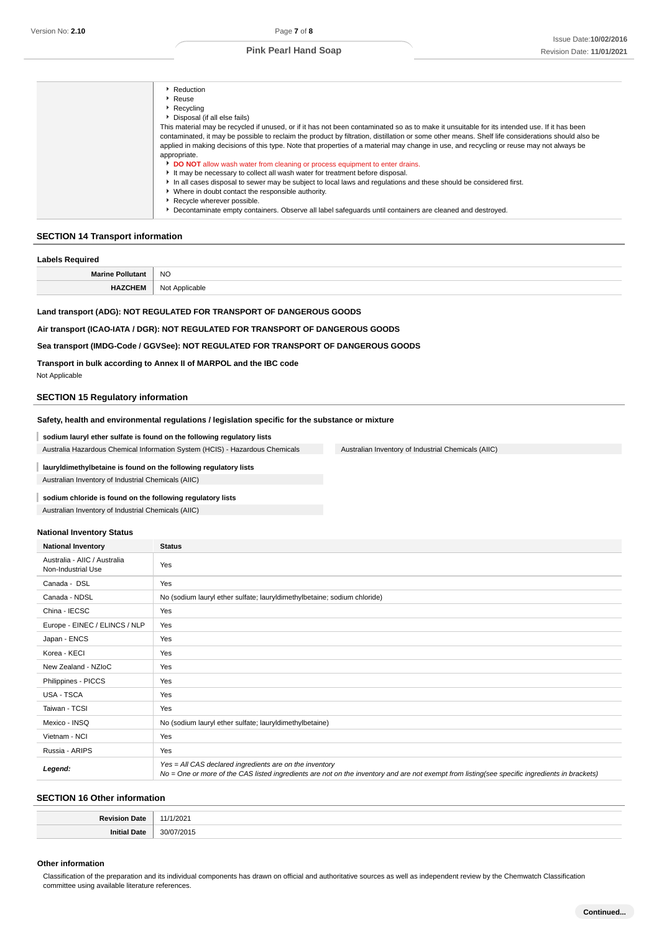| ▶ Reduction                                                                                                                                       |
|---------------------------------------------------------------------------------------------------------------------------------------------------|
| Reuse                                                                                                                                             |
| ▶ Recycling                                                                                                                                       |
| Disposal (if all else fails)                                                                                                                      |
| This material may be recycled if unused, or if it has not been contaminated so as to make it unsuitable for its intended use. If it has been      |
| contaminated, it may be possible to reclaim the product by filtration, distillation or some other means. Shelf life considerations should also be |
| applied in making decisions of this type. Note that properties of a material may change in use, and recycling or reuse may not always be          |
| appropriate.                                                                                                                                      |
| DO NOT allow wash water from cleaning or process equipment to enter drains.                                                                       |
| It may be necessary to collect all wash water for treatment before disposal.                                                                      |
| In all cases disposal to sewer may be subject to local laws and regulations and these should be considered first.                                 |
| • Where in doubt contact the responsible authority.                                                                                               |
| Recycle wherever possible.                                                                                                                        |
| Decontaminate empty containers. Observe all label safeguards until containers are cleaned and destroved.                                          |
|                                                                                                                                                   |

### **SECTION 14 Transport information**

| <b>Labels Required</b>  |                |
|-------------------------|----------------|
| <b>Marine Pollutant</b> | <b>NO</b>      |
| <b>HAZCHEM</b>          | Not Applicable |

## **Land transport (ADG): NOT REGULATED FOR TRANSPORT OF DANGEROUS GOODS**

**Air transport (ICAO-IATA / DGR): NOT REGULATED FOR TRANSPORT OF DANGEROUS GOODS**

#### **Sea transport (IMDG-Code / GGVSee): NOT REGULATED FOR TRANSPORT OF DANGEROUS GOODS**

#### **Transport in bulk according to Annex II of MARPOL and the IBC code**

Not Applicable

I

#### **SECTION 15 Regulatory information**

#### **Safety, health and environmental regulations / legislation specific for the substance or mixture**

#### **sodium lauryl ether sulfate is found on the following regulatory lists**

Australia Hazardous Chemical Information System (HCIS) - Hazardous Chemicals Australian Inventory of Industrial Chemicals (AIIC)

### **lauryldimethylbetaine is found on the following regulatory lists** Australian Inventory of Industrial Chemicals (AIIC)

# **sodium chloride is found on the following regulatory lists**

Australian Inventory of Industrial Chemicals (AIIC)

#### **National Inventory Status**

| <b>National Inventory</b>                          | <b>Status</b>                                                                                                                                                                                            |
|----------------------------------------------------|----------------------------------------------------------------------------------------------------------------------------------------------------------------------------------------------------------|
| Australia - AIIC / Australia<br>Non-Industrial Use | Yes                                                                                                                                                                                                      |
| Canada - DSL                                       | Yes                                                                                                                                                                                                      |
| Canada - NDSL                                      | No (sodium lauryl ether sulfate; lauryldimethylbetaine; sodium chloride)                                                                                                                                 |
| China - IECSC                                      | Yes                                                                                                                                                                                                      |
| Europe - EINEC / ELINCS / NLP                      | Yes                                                                                                                                                                                                      |
| Japan - ENCS                                       | Yes                                                                                                                                                                                                      |
| Korea - KECI                                       | Yes                                                                                                                                                                                                      |
| New Zealand - NZIoC                                | Yes                                                                                                                                                                                                      |
| Philippines - PICCS                                | Yes                                                                                                                                                                                                      |
| USA - TSCA                                         | Yes                                                                                                                                                                                                      |
| Taiwan - TCSI                                      | Yes                                                                                                                                                                                                      |
| Mexico - INSQ                                      | No (sodium lauryl ether sulfate; lauryldimethylbetaine)                                                                                                                                                  |
| Vietnam - NCI                                      | Yes                                                                                                                                                                                                      |
| Russia - ARIPS                                     | Yes                                                                                                                                                                                                      |
| Legend:                                            | Yes = All CAS declared ingredients are on the inventory<br>No = One or more of the CAS listed ingredients are not on the inventory and are not exempt from listing(see specific ingredients in brackets) |

#### **SECTION 16 Other information**

| ייטר.<br>. |
|------------|

#### **Other information**

Classification of the preparation and its individual components has drawn on official and authoritative sources as well as independent review by the Chemwatch Classification committee using available literature references.